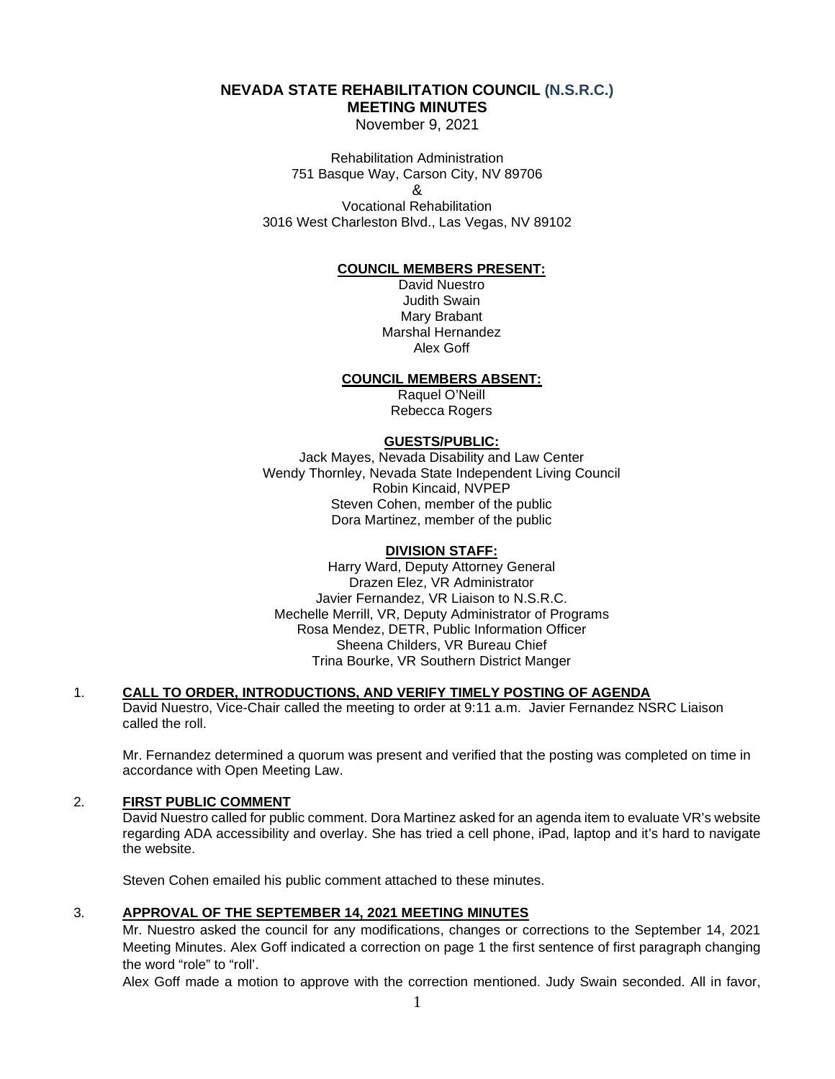# **NEVADA STATE REHABILITATION COUNCIL (N.S.R.C.) MEETING MINUTES**

November 9, 2021

Rehabilitation Administration 751 Basque Way, Carson City, NV 89706

&

Vocational Rehabilitation 3016 West Charleston Blvd., Las Vegas, NV 89102

## **COUNCIL MEMBERS PRESENT:**

David Nuestro Judith Swain Mary Brabant Marshal Hernandez Alex Goff

### **COUNCIL MEMBERS ABSENT:**

Raquel O'Neill Rebecca Rogers

## **GUESTS/PUBLIC:**

Jack Mayes, Nevada Disability and Law Center Wendy Thornley, Nevada State Independent Living Council Robin Kincaid, NVPEP Steven Cohen, member of the public Dora Martinez, member of the public

# **DIVISION STAFF:**

Harry Ward, Deputy Attorney General Drazen Elez, VR Administrator Javier Fernandez, VR Liaison to N.S.R.C. Mechelle Merrill, VR, Deputy Administrator of Programs Rosa Mendez, DETR, Public Information Officer Sheena Childers, VR Bureau Chief Trina Bourke, VR Southern District Manger

### 1. **CALL TO ORDER, INTRODUCTIONS, AND VERIFY TIMELY POSTING OF AGENDA**

David Nuestro, Vice-Chair called the meeting to order at 9:11 a.m. Javier Fernandez NSRC Liaison called the roll.

Mr. Fernandez determined a quorum was present and verified that the posting was completed on time in accordance with Open Meeting Law.

### 2. **FIRST PUBLIC COMMENT**

David Nuestro called for public comment. Dora Martinez asked for an agenda item to evaluate VR's website regarding ADA accessibility and overlay. She has tried a cell phone, iPad, laptop and it's hard to navigate the website.

Steven Cohen emailed his public comment attached to these minutes.

### 3. **APPROVAL OF THE SEPTEMBER 14, 2021 MEETING MINUTES**

Mr. Nuestro asked the council for any modifications, changes or corrections to the September 14, 2021 Meeting Minutes. Alex Goff indicated a correction on page 1 the first sentence of first paragraph changing the word "role" to "roll'.

Alex Goff made a motion to approve with the correction mentioned. Judy Swain seconded. All in favor,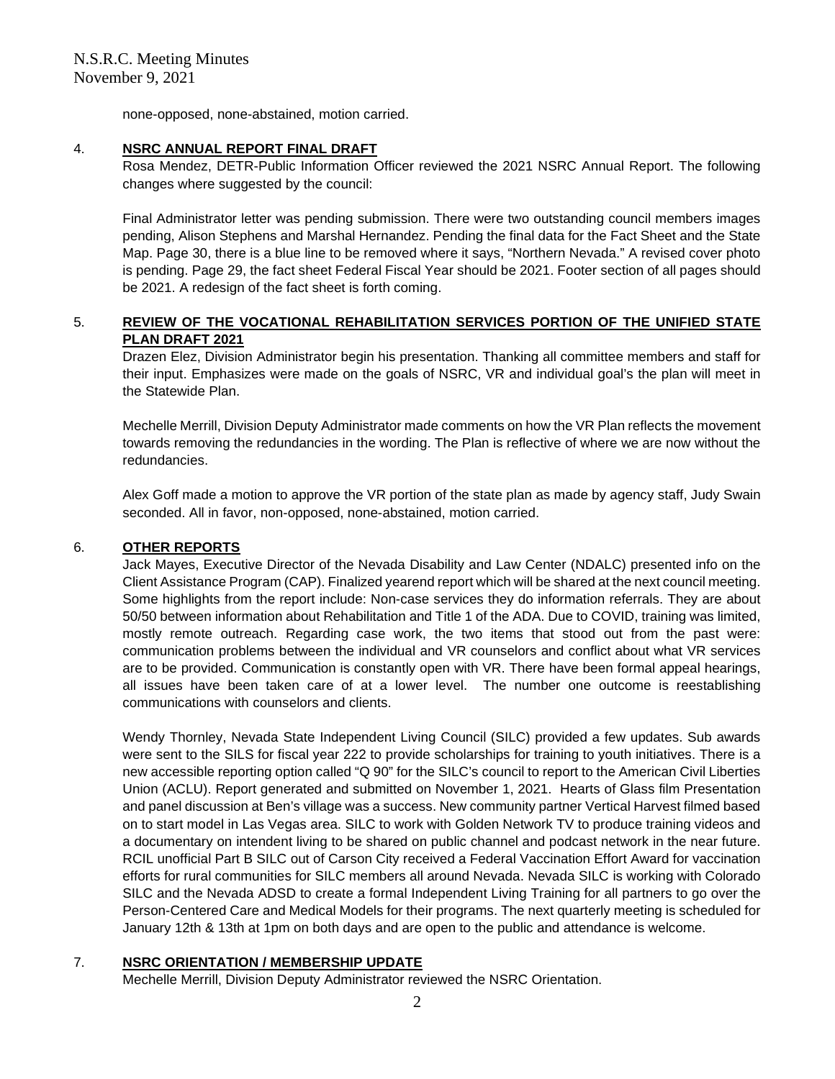none-opposed, none-abstained, motion carried.

## 4. **NSRC ANNUAL REPORT FINAL DRAFT**

Rosa Mendez, DETR-Public Information Officer reviewed the 2021 NSRC Annual Report. The following changes where suggested by the council:

Final Administrator letter was pending submission. There were two outstanding council members images pending, Alison Stephens and Marshal Hernandez. Pending the final data for the Fact Sheet and the State Map. Page 30, there is a blue line to be removed where it says, "Northern Nevada." A revised cover photo is pending. Page 29, the fact sheet Federal Fiscal Year should be 2021. Footer section of all pages should be 2021. A redesign of the fact sheet is forth coming.

# 5. **REVIEW OF THE VOCATIONAL REHABILITATION SERVICES PORTION OF THE UNIFIED STATE PLAN DRAFT 2021**

Drazen Elez, Division Administrator begin his presentation. Thanking all committee members and staff for their input. Emphasizes were made on the goals of NSRC, VR and individual goal's the plan will meet in the Statewide Plan.

Mechelle Merrill, Division Deputy Administrator made comments on how the VR Plan reflects the movement towards removing the redundancies in the wording. The Plan is reflective of where we are now without the redundancies.

Alex Goff made a motion to approve the VR portion of the state plan as made by agency staff, Judy Swain seconded. All in favor, non-opposed, none-abstained, motion carried.

## 6. **OTHER REPORTS**

Jack Mayes, Executive Director of the Nevada Disability and Law Center (NDALC) presented info on the Client Assistance Program (CAP). Finalized yearend report which will be shared at the next council meeting. Some highlights from the report include: Non-case services they do information referrals. They are about 50/50 between information about Rehabilitation and Title 1 of the ADA. Due to COVID, training was limited, mostly remote outreach. Regarding case work, the two items that stood out from the past were: communication problems between the individual and VR counselors and conflict about what VR services are to be provided. Communication is constantly open with VR. There have been formal appeal hearings, all issues have been taken care of at a lower level. The number one outcome is reestablishing communications with counselors and clients.

Wendy Thornley, Nevada State Independent Living Council (SILC) provided a few updates. Sub awards were sent to the SILS for fiscal year 222 to provide scholarships for training to youth initiatives. There is a new accessible reporting option called "Q 90" for the SILC's council to report to the American Civil Liberties Union (ACLU). Report generated and submitted on November 1, 2021. Hearts of Glass film Presentation and panel discussion at Ben's village was a success. New community partner Vertical Harvest filmed based on to start model in Las Vegas area. SILC to work with Golden Network TV to produce training videos and a documentary on intendent living to be shared on public channel and podcast network in the near future. RCIL unofficial Part B SILC out of Carson City received a Federal Vaccination Effort Award for vaccination efforts for rural communities for SILC members all around Nevada. Nevada SILC is working with Colorado SILC and the Nevada ADSD to create a formal Independent Living Training for all partners to go over the Person-Centered Care and Medical Models for their programs. The next quarterly meeting is scheduled for January 12th & 13th at 1pm on both days and are open to the public and attendance is welcome.

# 7. **NSRC ORIENTATION / MEMBERSHIP UPDATE**

Mechelle Merrill, Division Deputy Administrator reviewed the NSRC Orientation.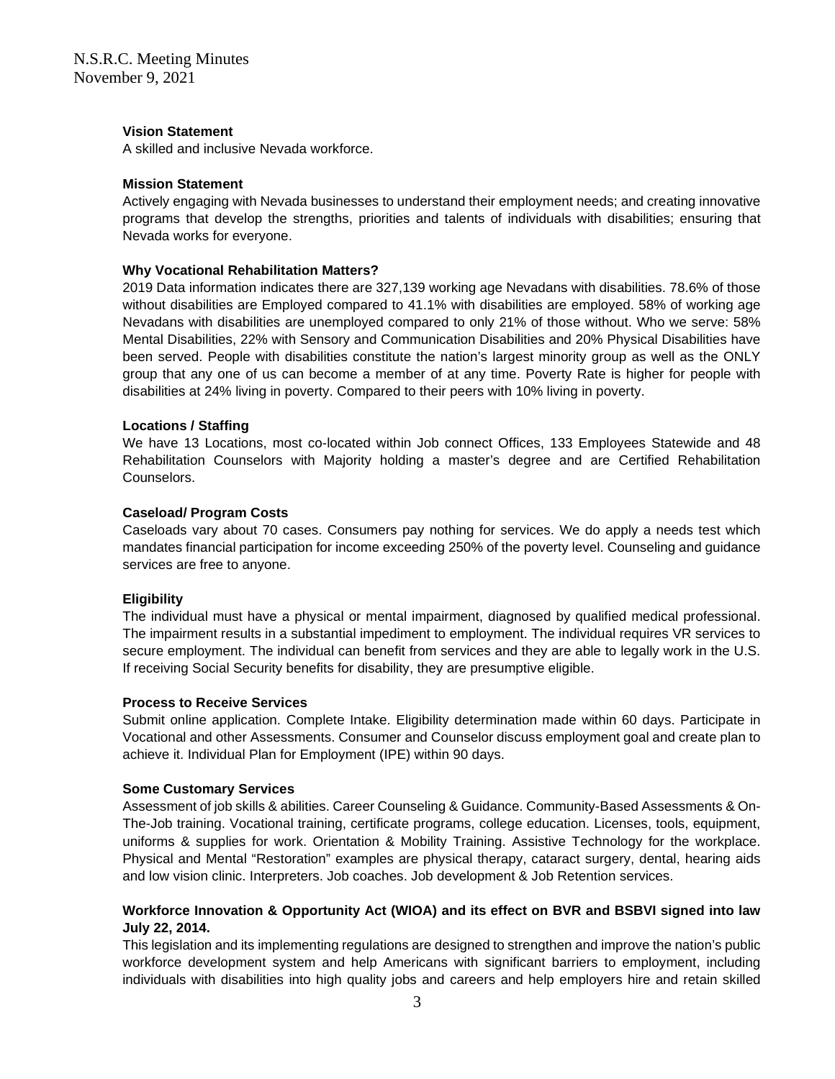### **Vision Statement**

A skilled and inclusive Nevada workforce.

### **Mission Statement**

Actively engaging with Nevada businesses to understand their employment needs; and creating innovative programs that develop the strengths, priorities and talents of individuals with disabilities; ensuring that Nevada works for everyone.

## **Why Vocational Rehabilitation Matters?**

2019 Data information indicates there are 327,139 working age Nevadans with disabilities. 78.6% of those without disabilities are Employed compared to 41.1% with disabilities are employed. 58% of working age Nevadans with disabilities are unemployed compared to only 21% of those without. Who we serve: 58% Mental Disabilities, 22% with Sensory and Communication Disabilities and 20% Physical Disabilities have been served. People with disabilities constitute the nation's largest minority group as well as the ONLY group that any one of us can become a member of at any time. Poverty Rate is higher for people with disabilities at 24% living in poverty. Compared to their peers with 10% living in poverty.

## **Locations / Staffing**

We have 13 Locations, most co-located within Job connect Offices, 133 Employees Statewide and 48 Rehabilitation Counselors with Majority holding a master's degree and are Certified Rehabilitation Counselors.

## **Caseload/ Program Costs**

Caseloads vary about 70 cases. Consumers pay nothing for services. We do apply a needs test which mandates financial participation for income exceeding 250% of the poverty level. Counseling and guidance services are free to anyone.

### **Eligibility**

The individual must have a physical or mental impairment, diagnosed by qualified medical professional. The impairment results in a substantial impediment to employment. The individual requires VR services to secure employment. The individual can benefit from services and they are able to legally work in the U.S. If receiving Social Security benefits for disability, they are presumptive eligible.

### **Process to Receive Services**

Submit online application. Complete Intake. Eligibility determination made within 60 days. Participate in Vocational and other Assessments. Consumer and Counselor discuss employment goal and create plan to achieve it. Individual Plan for Employment (IPE) within 90 days.

### **Some Customary Services**

Assessment of job skills & abilities. Career Counseling & Guidance. Community-Based Assessments & On-The-Job training. Vocational training, certificate programs, college education. Licenses, tools, equipment, uniforms & supplies for work. Orientation & Mobility Training. Assistive Technology for the workplace. Physical and Mental "Restoration" examples are physical therapy, cataract surgery, dental, hearing aids and low vision clinic. Interpreters. Job coaches. Job development & Job Retention services.

# **Workforce Innovation & Opportunity Act (WIOA) and its effect on BVR and BSBVI signed into law July 22, 2014.**

This legislation and its implementing regulations are designed to strengthen and improve the nation's public workforce development system and help Americans with significant barriers to employment, including individuals with disabilities into high quality jobs and careers and help employers hire and retain skilled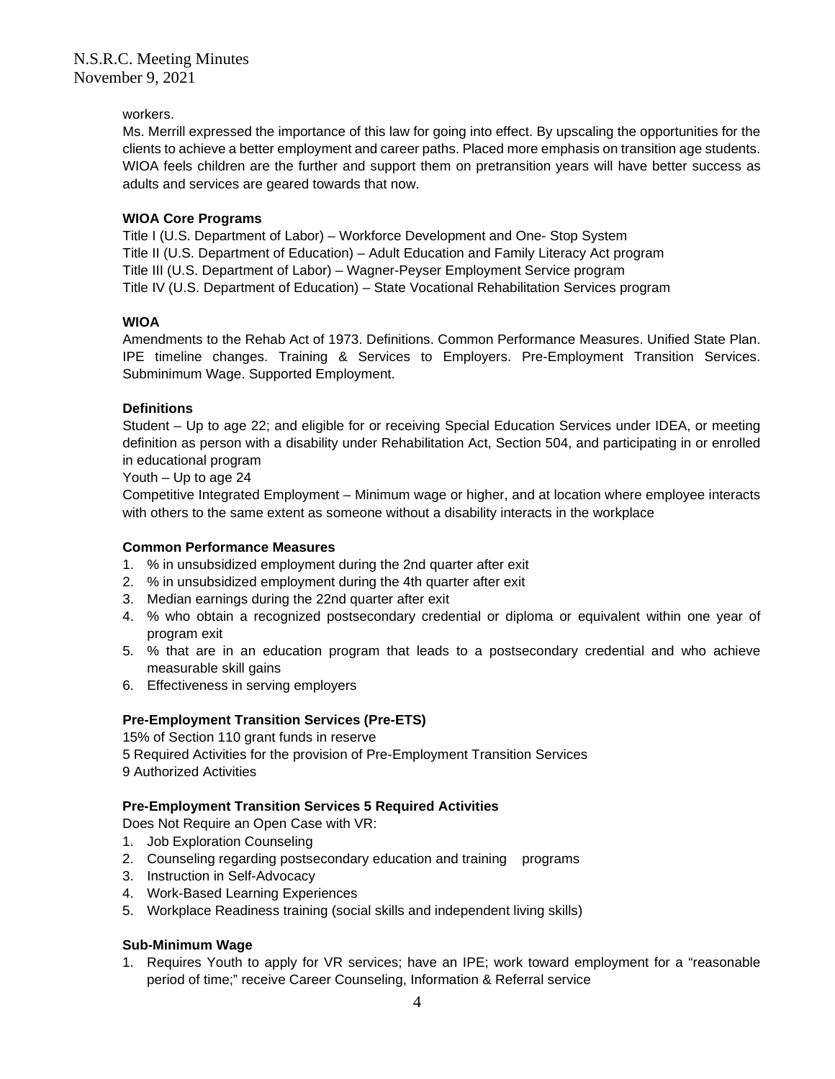## workers.

Ms. Merrill expressed the importance of this law for going into effect. By upscaling the opportunities for the clients to achieve a better employment and career paths. Placed more emphasis on transition age students. WIOA feels children are the further and support them on pretransition years will have better success as adults and services are geared towards that now.

## **WIOA Core Programs**

Title I (U.S. Department of Labor) – Workforce Development and One- Stop System Title II (U.S. Department of Education) – Adult Education and Family Literacy Act program Title III (U.S. Department of Labor) – Wagner-Peyser Employment Service program Title IV (U.S. Department of Education) – State Vocational Rehabilitation Services program

## **WIOA**

Amendments to the Rehab Act of 1973. Definitions. Common Performance Measures. Unified State Plan. IPE timeline changes. Training & Services to Employers. Pre-Employment Transition Services. Subminimum Wage. Supported Employment.

## **Definitions**

Student – Up to age 22; and eligible for or receiving Special Education Services under IDEA, or meeting definition as person with a disability under Rehabilitation Act, Section 504, and participating in or enrolled in educational program

### Youth – Up to age 24

Competitive Integrated Employment – Minimum wage or higher, and at location where employee interacts with others to the same extent as someone without a disability interacts in the workplace

## **Common Performance Measures**

- 1. % in unsubsidized employment during the 2nd quarter after exit
- 2. % in unsubsidized employment during the 4th quarter after exit
- 3. Median earnings during the 22nd quarter after exit
- 4. % who obtain a recognized postsecondary credential or diploma or equivalent within one year of program exit
- 5. % that are in an education program that leads to a postsecondary credential and who achieve measurable skill gains
- 6. Effectiveness in serving employers

# **Pre-Employment Transition Services (Pre-ETS)**

15% of Section 110 grant funds in reserve 5 Required Activities for the provision of Pre-Employment Transition Services 9 Authorized Activities

# **Pre-Employment Transition Services 5 Required Activities**

Does Not Require an Open Case with VR:

- 1. Job Exploration Counseling
- 2. Counseling regarding postsecondary education and training programs
- 3. Instruction in Self-Advocacy
- 4. Work-Based Learning Experiences
- 5. Workplace Readiness training (social skills and independent living skills)

# **Sub-Minimum Wage**

1. Requires Youth to apply for VR services; have an IPE; work toward employment for a "reasonable period of time;" receive Career Counseling, Information & Referral service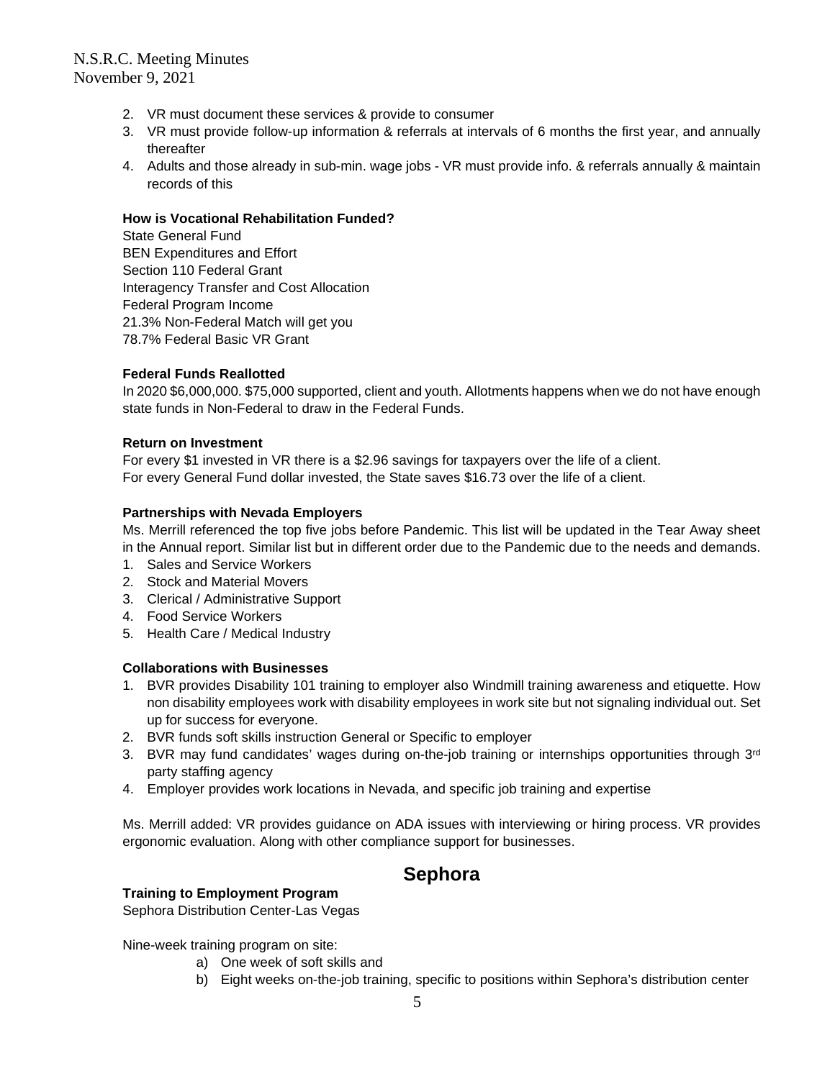# N.S.R.C. Meeting Minutes November 9, 2021

- 2. VR must document these services & provide to consumer
- 3. VR must provide follow-up information & referrals at intervals of 6 months the first year, and annually thereafter
- 4. Adults and those already in sub-min. wage jobs VR must provide info. & referrals annually & maintain records of this

## **How is Vocational Rehabilitation Funded?**

State General Fund BEN Expenditures and Effort Section 110 Federal Grant Interagency Transfer and Cost Allocation Federal Program Income 21.3% Non-Federal Match will get you 78.7% Federal Basic VR Grant

## **Federal Funds Reallotted**

In 2020 \$6,000,000. \$75,000 supported, client and youth. Allotments happens when we do not have enough state funds in Non-Federal to draw in the Federal Funds.

### **Return on Investment**

For every \$1 invested in VR there is a \$2.96 savings for taxpayers over the life of a client. For every General Fund dollar invested, the State saves \$16.73 over the life of a client.

## **Partnerships with Nevada Employers**

Ms. Merrill referenced the top five jobs before Pandemic. This list will be updated in the Tear Away sheet in the Annual report. Similar list but in different order due to the Pandemic due to the needs and demands.

- 1. Sales and Service Workers
- 2. Stock and Material Movers
- 3. Clerical / Administrative Support
- 4. Food Service Workers
- 5. Health Care / Medical Industry

### **Collaborations with Businesses**

- 1. BVR provides Disability 101 training to employer also Windmill training awareness and etiquette. How non disability employees work with disability employees in work site but not signaling individual out. Set up for success for everyone.
- 2. BVR funds soft skills instruction General or Specific to employer
- 3. BVR may fund candidates' wages during on-the-job training or internships opportunities through  $3<sup>rd</sup>$ party staffing agency
- 4. Employer provides work locations in Nevada, and specific job training and expertise

Ms. Merrill added: VR provides guidance on ADA issues with interviewing or hiring process. VR provides ergonomic evaluation. Along with other compliance support for businesses.

# **Sephora**

# **Training to Employment Program**

Sephora Distribution Center-Las Vegas

Nine-week training program on site:

- a) One week of soft skills and
- b) Eight weeks on-the-job training, specific to positions within Sephora's distribution center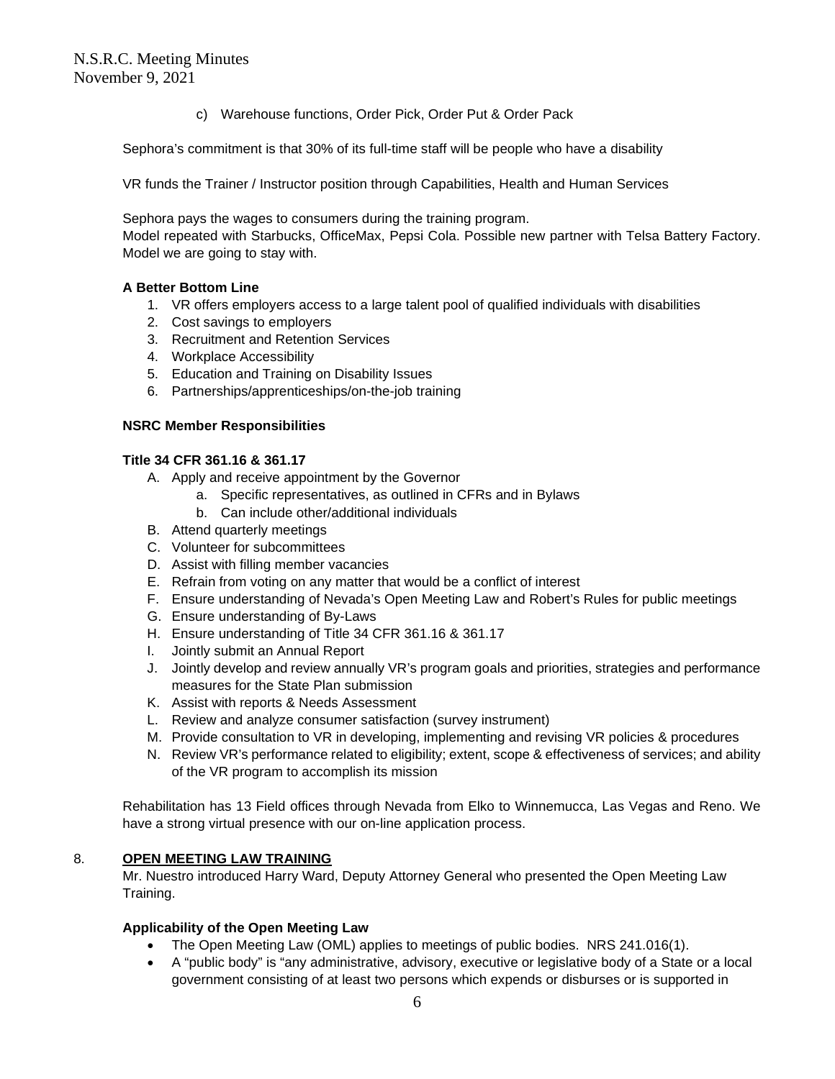c) Warehouse functions, Order Pick, Order Put & Order Pack

Sephora's commitment is that 30% of its full-time staff will be people who have a disability

VR funds the Trainer / Instructor position through Capabilities, Health and Human Services

Sephora pays the wages to consumers during the training program.

Model repeated with Starbucks, OfficeMax, Pepsi Cola. Possible new partner with Telsa Battery Factory. Model we are going to stay with.

# **A Better Bottom Line**

- 1. VR offers employers access to a large talent pool of qualified individuals with disabilities
- 2. Cost savings to employers
- 3. Recruitment and Retention Services
- 4. Workplace Accessibility
- 5. Education and Training on Disability Issues
- 6. Partnerships/apprenticeships/on-the-job training

## **NSRC Member Responsibilities**

## **Title 34 CFR 361.16 & 361.17**

- A. Apply and receive appointment by the Governor
	- a. Specific representatives, as outlined in CFRs and in Bylaws
	- b. Can include other/additional individuals
- B. Attend quarterly meetings
- C. Volunteer for subcommittees
- D. Assist with filling member vacancies
- E. Refrain from voting on any matter that would be a conflict of interest
- F. Ensure understanding of Nevada's Open Meeting Law and Robert's Rules for public meetings
- G. Ensure understanding of By-Laws
- H. Ensure understanding of Title 34 CFR 361.16 & 361.17
- I. Jointly submit an Annual Report
- J. Jointly develop and review annually VR's program goals and priorities, strategies and performance measures for the State Plan submission
- K. Assist with reports & Needs Assessment
- L. Review and analyze consumer satisfaction (survey instrument)
- M. Provide consultation to VR in developing, implementing and revising VR policies & procedures
- N. Review VR's performance related to eligibility; extent, scope & effectiveness of services; and ability of the VR program to accomplish its mission

Rehabilitation has 13 Field offices through Nevada from Elko to Winnemucca, Las Vegas and Reno. We have a strong virtual presence with our on-line application process.

# 8. **OPEN MEETING LAW TRAINING**

Mr. Nuestro introduced Harry Ward, Deputy Attorney General who presented the Open Meeting Law Training.

# **Applicability of the Open Meeting Law**

- The Open Meeting Law (OML) applies to meetings of public bodies. NRS 241.016(1).
- A "public body" is "any administrative, advisory, executive or legislative body of a State or a local government consisting of at least two persons which expends or disburses or is supported in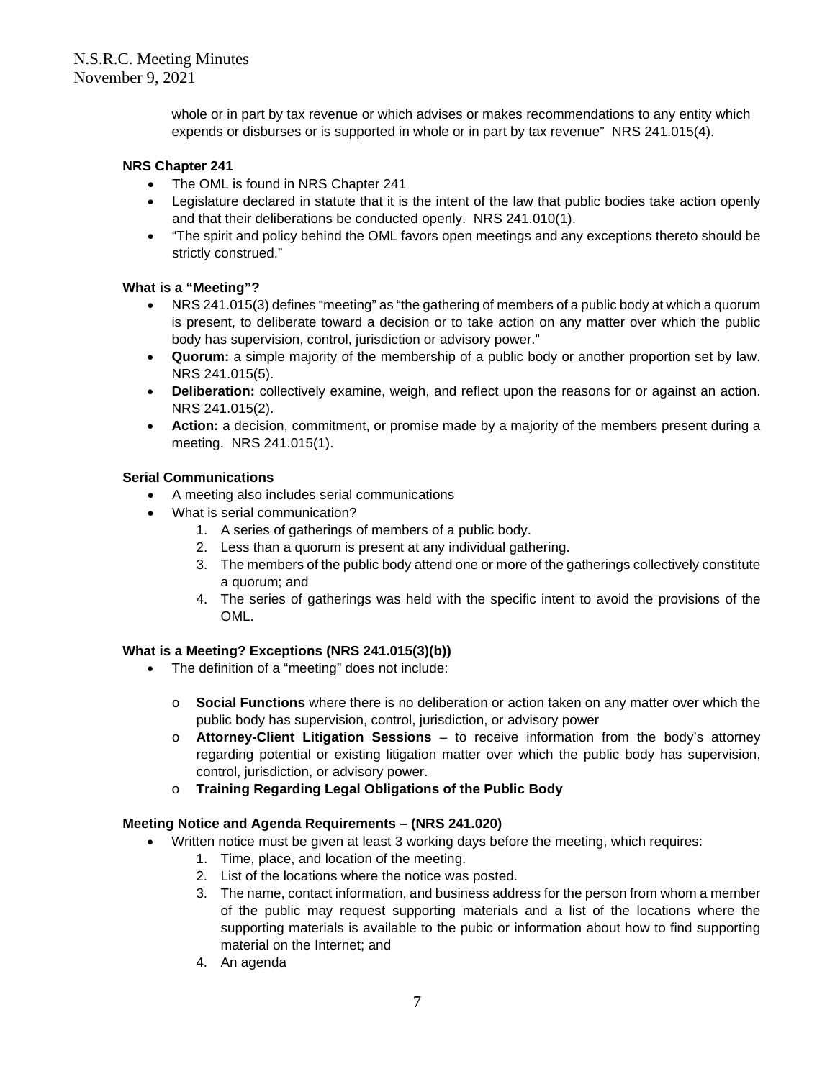whole or in part by tax revenue or which advises or makes recommendations to any entity which expends or disburses or is supported in whole or in part by tax revenue" NRS 241.015(4).

# **NRS Chapter 241**

- The OML is found in NRS Chapter 241
- Legislature declared in statute that it is the intent of the law that public bodies take action openly and that their deliberations be conducted openly. NRS 241.010(1).
- "The spirit and policy behind the OML favors open meetings and any exceptions thereto should be strictly construed."

## **What is a "Meeting"?**

- NRS 241.015(3) defines "meeting" as "the gathering of members of a public body at which a quorum is present, to deliberate toward a decision or to take action on any matter over which the public body has supervision, control, jurisdiction or advisory power."
- **Quorum:** a simple majority of the membership of a public body or another proportion set by law. NRS 241.015(5).
- **Deliberation:** collectively examine, weigh, and reflect upon the reasons for or against an action. NRS 241.015(2).
- **Action:** a decision, commitment, or promise made by a majority of the members present during a meeting. NRS 241.015(1).

### **Serial Communications**

- A meeting also includes serial communications
- What is serial communication?
	- 1. A series of gatherings of members of a public body.
	- 2. Less than a quorum is present at any individual gathering.
	- 3. The members of the public body attend one or more of the gatherings collectively constitute a quorum; and
	- 4. The series of gatherings was held with the specific intent to avoid the provisions of the OML.

## **What is a Meeting? Exceptions (NRS 241.015(3)(b))**

- The definition of a "meeting" does not include:
	- o **Social Functions** where there is no deliberation or action taken on any matter over which the public body has supervision, control, jurisdiction, or advisory power
	- o **Attorney-Client Litigation Sessions** to receive information from the body's attorney regarding potential or existing litigation matter over which the public body has supervision, control, jurisdiction, or advisory power.
	- o **Training Regarding Legal Obligations of the Public Body**

### **Meeting Notice and Agenda Requirements – (NRS 241.020)**

- Written notice must be given at least 3 working days before the meeting, which requires:
	- 1. Time, place, and location of the meeting.
	- 2. List of the locations where the notice was posted.
	- 3. The name, contact information, and business address for the person from whom a member of the public may request supporting materials and a list of the locations where the supporting materials is available to the pubic or information about how to find supporting material on the Internet; and
	- 4. An agenda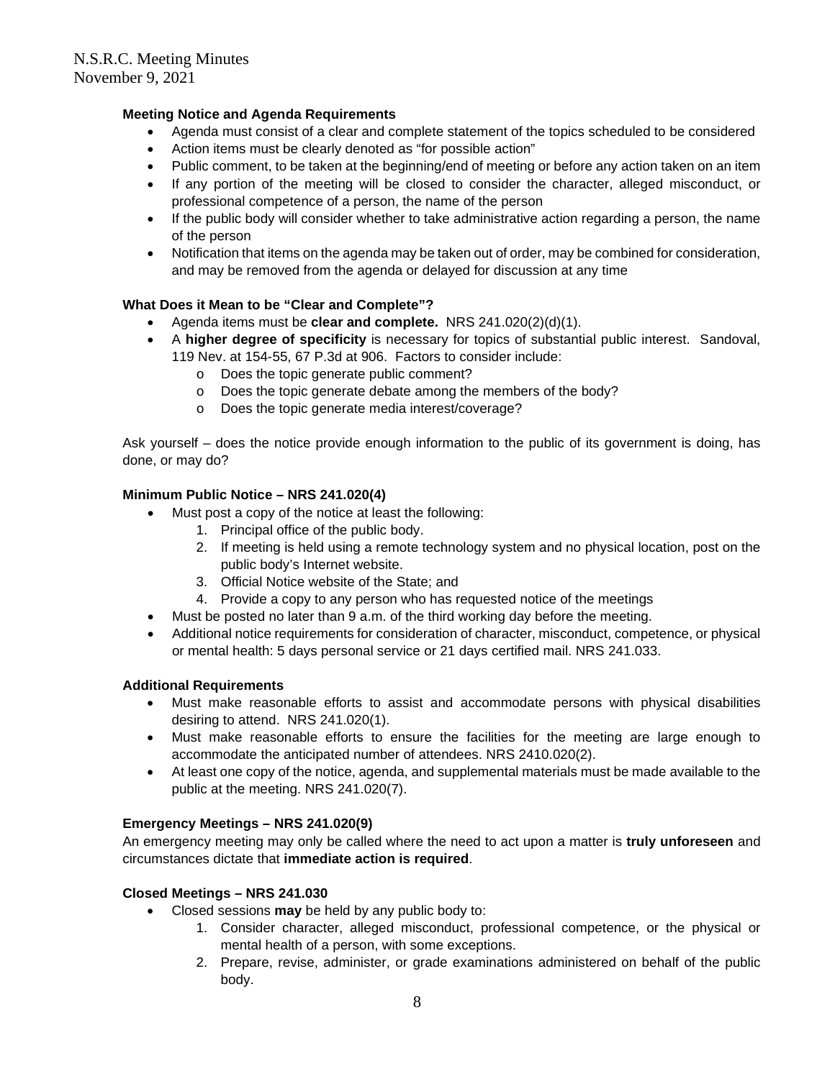# **Meeting Notice and Agenda Requirements**

- Agenda must consist of a clear and complete statement of the topics scheduled to be considered
- Action items must be clearly denoted as "for possible action"
- Public comment, to be taken at the beginning/end of meeting or before any action taken on an item
- If any portion of the meeting will be closed to consider the character, alleged misconduct, or professional competence of a person, the name of the person
- If the public body will consider whether to take administrative action regarding a person, the name of the person
- Notification that items on the agenda may be taken out of order, may be combined for consideration, and may be removed from the agenda or delayed for discussion at any time

### **What Does it Mean to be "Clear and Complete"?**

- Agenda items must be **clear and complete.** NRS 241.020(2)(d)(1).
- A **higher degree of specificity** is necessary for topics of substantial public interest. Sandoval, 119 Nev. at 154-55, 67 P.3d at 906. Factors to consider include:
	- o Does the topic generate public comment?
	- o Does the topic generate debate among the members of the body?
	- o Does the topic generate media interest/coverage?

Ask yourself – does the notice provide enough information to the public of its government is doing, has done, or may do?

## **Minimum Public Notice – NRS 241.020(4)**

- Must post a copy of the notice at least the following:
	- 1. Principal office of the public body.
		- 2. If meeting is held using a remote technology system and no physical location, post on the public body's Internet website.
		- 3. Official Notice website of the State; and
		- 4. Provide a copy to any person who has requested notice of the meetings
- Must be posted no later than 9 a.m. of the third working day before the meeting.
- Additional notice requirements for consideration of character, misconduct, competence, or physical or mental health: 5 days personal service or 21 days certified mail. NRS 241.033.

### **Additional Requirements**

- Must make reasonable efforts to assist and accommodate persons with physical disabilities desiring to attend. NRS 241.020(1).
- Must make reasonable efforts to ensure the facilities for the meeting are large enough to accommodate the anticipated number of attendees. NRS 2410.020(2).
- At least one copy of the notice, agenda, and supplemental materials must be made available to the public at the meeting. NRS 241.020(7).

## **Emergency Meetings – NRS 241.020(9)**

An emergency meeting may only be called where the need to act upon a matter is **truly unforeseen** and circumstances dictate that **immediate action is required**.

### **Closed Meetings – NRS 241.030**

- Closed sessions **may** be held by any public body to:
	- 1. Consider character, alleged misconduct, professional competence, or the physical or mental health of a person, with some exceptions.
	- 2. Prepare, revise, administer, or grade examinations administered on behalf of the public body.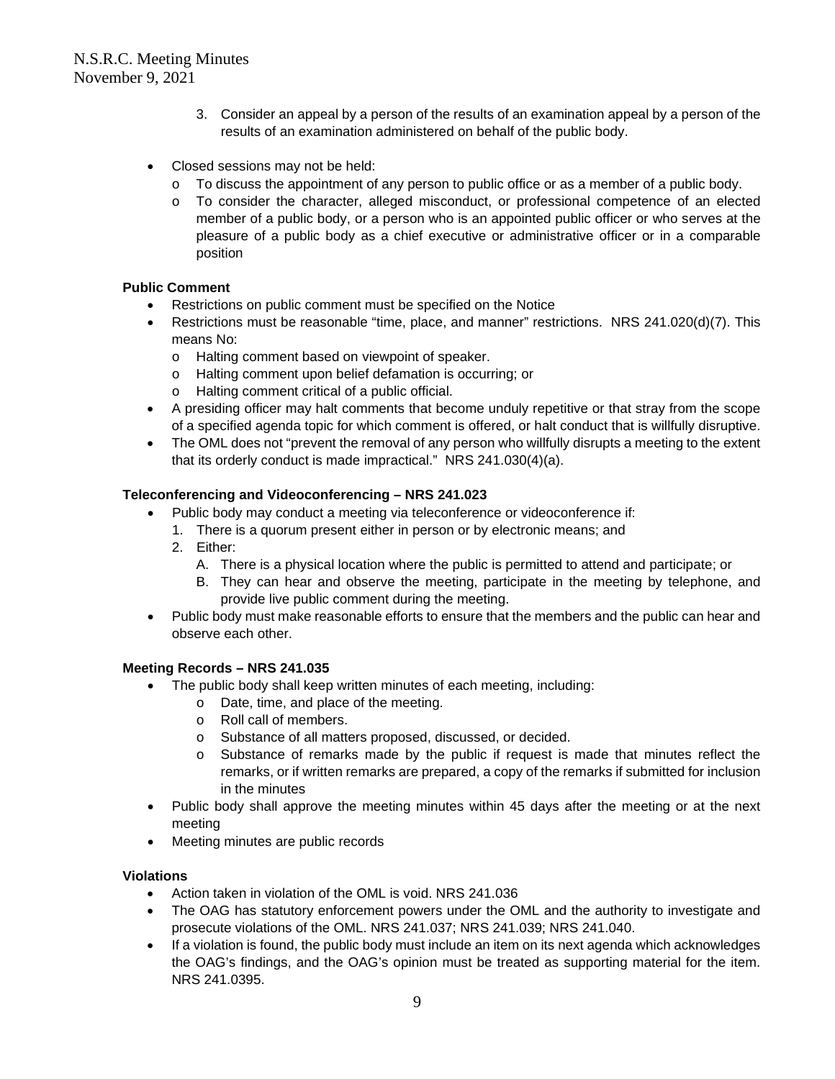- 3. Consider an appeal by a person of the results of an examination appeal by a person of the results of an examination administered on behalf of the public body.
- Closed sessions may not be held:
	- $\circ$  To discuss the appointment of any person to public office or as a member of a public body.
	- o To consider the character, alleged misconduct, or professional competence of an elected member of a public body, or a person who is an appointed public officer or who serves at the pleasure of a public body as a chief executive or administrative officer or in a comparable position

# **Public Comment**

- Restrictions on public comment must be specified on the Notice
- Restrictions must be reasonable "time, place, and manner" restrictions. NRS 241.020(d)(7). This means No:
	- o Halting comment based on viewpoint of speaker.
	- o Halting comment upon belief defamation is occurring; or
	- o Halting comment critical of a public official.
- A presiding officer may halt comments that become unduly repetitive or that stray from the scope of a specified agenda topic for which comment is offered, or halt conduct that is willfully disruptive.
- The OML does not "prevent the removal of any person who willfully disrupts a meeting to the extent that its orderly conduct is made impractical." NRS 241.030(4)(a).

## **Teleconferencing and Videoconferencing – NRS 241.023**

- Public body may conduct a meeting via teleconference or videoconference if:
	- 1. There is a quorum present either in person or by electronic means; and
	- 2. Either:
		- A. There is a physical location where the public is permitted to attend and participate; or
		- B. They can hear and observe the meeting, participate in the meeting by telephone, and provide live public comment during the meeting.
- Public body must make reasonable efforts to ensure that the members and the public can hear and observe each other.

### **Meeting Records – NRS 241.035**

- The public body shall keep written minutes of each meeting, including:
	- o Date, time, and place of the meeting.
	- o Roll call of members.
	- o Substance of all matters proposed, discussed, or decided.
	- o Substance of remarks made by the public if request is made that minutes reflect the remarks, or if written remarks are prepared, a copy of the remarks if submitted for inclusion in the minutes
- Public body shall approve the meeting minutes within 45 days after the meeting or at the next meeting
- Meeting minutes are public records

### **Violations**

- Action taken in violation of the OML is void. NRS 241.036
- The OAG has statutory enforcement powers under the OML and the authority to investigate and prosecute violations of the OML. NRS 241.037; NRS 241.039; NRS 241.040.
- If a violation is found, the public body must include an item on its next agenda which acknowledges the OAG's findings, and the OAG's opinion must be treated as supporting material for the item. NRS 241.0395.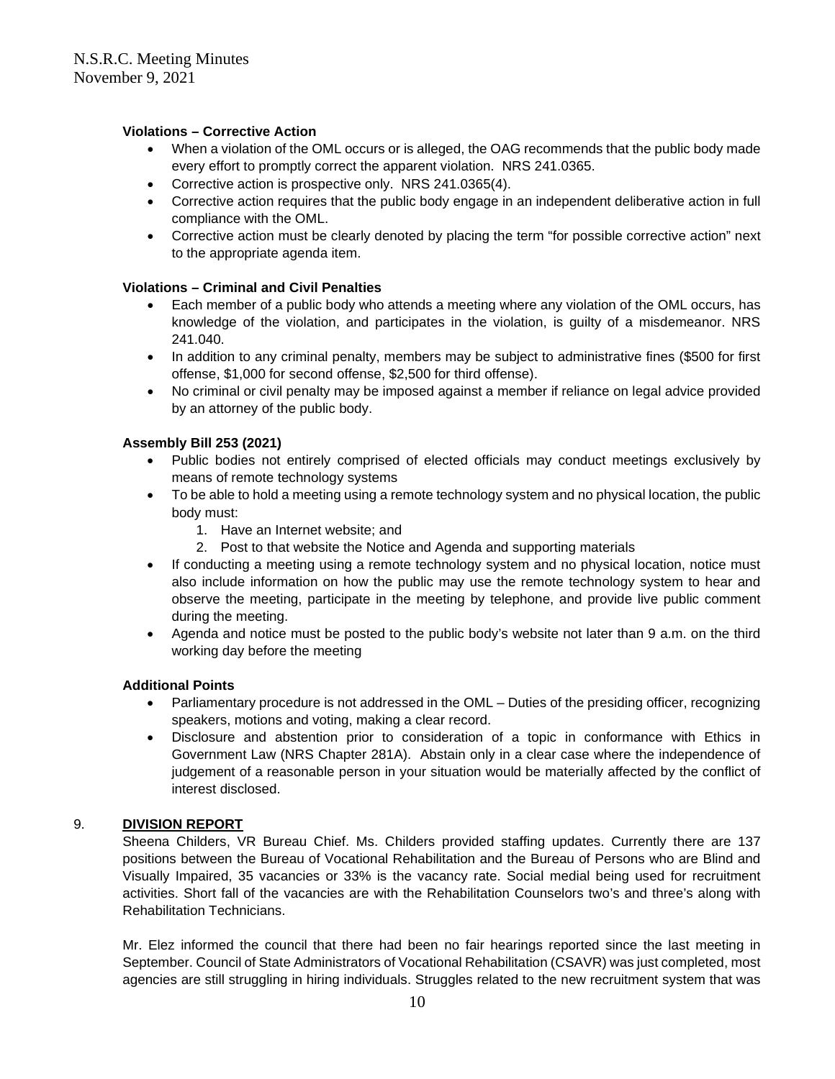# **Violations – Corrective Action**

- When a violation of the OML occurs or is alleged, the OAG recommends that the public body made every effort to promptly correct the apparent violation. NRS 241.0365.
- Corrective action is prospective only. NRS 241.0365(4).
- Corrective action requires that the public body engage in an independent deliberative action in full compliance with the OML.
- Corrective action must be clearly denoted by placing the term "for possible corrective action" next to the appropriate agenda item.

# **Violations – Criminal and Civil Penalties**

- Each member of a public body who attends a meeting where any violation of the OML occurs, has knowledge of the violation, and participates in the violation, is guilty of a misdemeanor. NRS 241.040.
- In addition to any criminal penalty, members may be subject to administrative fines (\$500 for first offense, \$1,000 for second offense, \$2,500 for third offense).
- No criminal or civil penalty may be imposed against a member if reliance on legal advice provided by an attorney of the public body.

# **Assembly Bill 253 (2021)**

- Public bodies not entirely comprised of elected officials may conduct meetings exclusively by means of remote technology systems
- To be able to hold a meeting using a remote technology system and no physical location, the public body must:
	- 1. Have an Internet website; and
	- 2. Post to that website the Notice and Agenda and supporting materials
- If conducting a meeting using a remote technology system and no physical location, notice must also include information on how the public may use the remote technology system to hear and observe the meeting, participate in the meeting by telephone, and provide live public comment during the meeting.
- Agenda and notice must be posted to the public body's website not later than 9 a.m. on the third working day before the meeting

# **Additional Points**

- Parliamentary procedure is not addressed in the OML Duties of the presiding officer, recognizing speakers, motions and voting, making a clear record.
- Disclosure and abstention prior to consideration of a topic in conformance with Ethics in Government Law (NRS Chapter 281A). Abstain only in a clear case where the independence of judgement of a reasonable person in your situation would be materially affected by the conflict of interest disclosed.

# 9. **DIVISION REPORT**

Sheena Childers, VR Bureau Chief. Ms. Childers provided staffing updates. Currently there are 137 positions between the Bureau of Vocational Rehabilitation and the Bureau of Persons who are Blind and Visually Impaired, 35 vacancies or 33% is the vacancy rate. Social medial being used for recruitment activities. Short fall of the vacancies are with the Rehabilitation Counselors two's and three's along with Rehabilitation Technicians.

Mr. Elez informed the council that there had been no fair hearings reported since the last meeting in September. Council of State Administrators of Vocational Rehabilitation (CSAVR) was just completed, most agencies are still struggling in hiring individuals. Struggles related to the new recruitment system that was